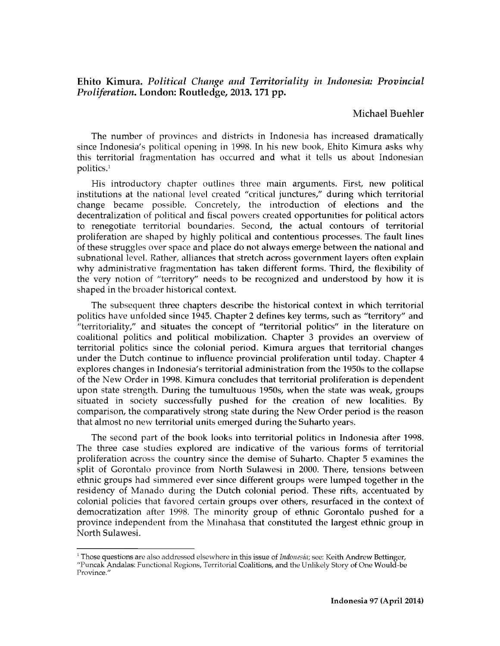## **Ehito Kimura.** *Political Change and Territoriality in Indonesia: Provincial Proliferation.* **London: Routledge, 2013.171 pp.**

## **Michael Buehler**

The number of provinces and districts in Indonesia has increased dramatically since Indonesia's political opening in 1998. In his new book, Ehito Kimura asks why this territorial fragmentation has occurred and what it tells us about Indonesian politics.1

His introductory chapter outlines three main arguments. First, new political institutions at the national level created "critical junctures," during which territorial change became possible. Concretely, the introduction of elections and the decentralization of political and fiscal powers created opportunities for political actors to renegotiate territorial boundaries. Second, the actual contours of territorial proliferation are shaped by highly political and contentious processes. The fault lines of these struggles over space and place do not always emerge between the national and subnational level. Rather, alliances that stretch across government layers often explain why administrative fragmentation has taken different forms. Third, the flexibility of the very notion of "territory" needs to be recognized and understood by how it is shaped in the broader historical context.

The subsequent three chapters describe the historical context in which territorial politics have unfolded since 1945. Chapter 2 defines key terms, such as "territory" and "territoriality," and situates the concept of "territorial politics" in the literature on coalitional politics and political mobilization. Chapter 3 provides an overview of territorial politics since the colonial period. Kimura argues that territorial changes under the Dutch continue to influence provincial proliferation until today. Chapter 4 explores changes in Indonesia's territorial administration from the 1950s to the collapse of the New Order in 1998. Kimura concludes that territorial proliferation is dependent upon state strength. During the tumultuous 1950s, when the state was weak, groups situated in society successfully pushed for the creation of new localities. By comparison, the comparatively strong state during the New Order period is the reason that almost no new territorial units emerged during the Suharto years.

The second part of the book looks into territorial politics in Indonesia after 1998. The three case studies explored are indicative of the various forms of territorial proliferation across the country since the demise of Suharto. Chapter 5 examines the split of Gorontalo province from North Sulawesi in 2000. There, tensions between ethnic groups had simmered ever since different groups were lumped together in the residency of Manado during the Dutch colonial period. These rifts, accentuated by colonial policies that favored certain groups over others, resurfaced in the context of democratization after 1998. The minority group of ethnic Gorontalo pushed for a province independent from the Minahasa that constituted the largest ethnic group in North Sulawesi.

<sup>&</sup>lt;sup>1</sup> Those questions are also addressed elsewhere in this issue of *Indonesia*; see: Keith Andrew Bettinger, "Puncak Andalas: Functional Regions, Territorial Coalitions, and the Unlikely Story of One Would-be Province.'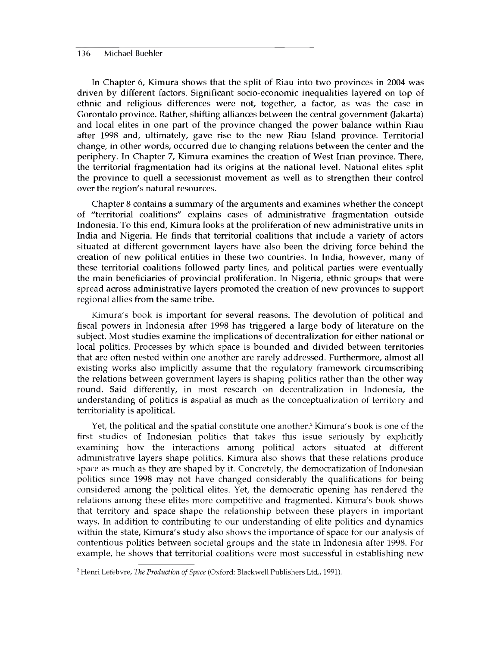## 136 Michael Buehler

In Chapter 6, Kimura shows that the split of Riau into two provinces in 2004 was driven by different factors. Significant socio-economic inequalities layered on top of ethnic and religious differences were not, together, a factor, as was the case in Gorontalo province. Rather, shifting alliances between the central government (Jakarta) and local elites in one part of the province changed the power balance within Riau after 1998 and, ultimately, gave rise to the new Riau Island province. Territorial change, in other words, occurred due to changing relations between the center and the periphery. In Chapter 7, Kimura examines the creation of West Irian province. There, the territorial fragmentation had its origins at the national level. National elites split the province to quell a secessionist movement as well as to strengthen their control over the region's natural resources.

Chapter 8 contains a summary of the arguments and examines whether the concept of "territorial coalitions" explains cases of administrative fragmentation outside Indonesia. To this end, Kimura looks at the proliferation of new administrative units in India and Nigeria. He finds that territorial coalitions that include a variety of actors situated at different government layers have also been the driving force behind the creation of new political entities in these two countries. In India, however, many of these territorial coalitions followed party lines, and political parties were eventually the main beneficiaries of provincial proliferation. In Nigeria, ethnic groups that were spread across administrative layers promoted the creation of new provinces to support regional allies from the same tribe.

Kimura's book is important for several reasons. The devolution of political and fiscal powers in Indonesia after 1998 has triggered a large body of literature on the subject. Most studies examine the implications of decentralization for either national or local politics. Processes by which space is bounded and divided between territories that are often nested within one another are rarely addressed. Furthermore, almost all existing works also implicitly assume that the regulatory framework circumscribing the relations between government layers is shaping politics rather than the other way round. Said differently, in most research on decentralization in Indonesia, the understanding of politics is aspatial as much as the conceptualization of territory and territoriality is apolitical.

Yet, the political and the spatial constitute one another.<sup>2</sup> Kimura's book is one of the first studies of Indonesian politics that takes this issue seriously by explicitly examining how the interactions among political actors situated at different administrative layers shape politics. Kimura also shows that these relations produce space as much as they are shaped by it. Concretely, the democratization of Indonesian politics since 1998 may not have changed considerably the qualifications for being considered among the political elites. Yet, the democratic opening has rendered the relations among these elites more competitive and fragmented. Kimura's book shows that territory and space shape the relationship between these players in important ways. In addition to contributing to our understanding of elite politics and dynamics within the state, Kimura's study also shows the importance of space for our analysis of contentious politics between societal groups and the state in Indonesia after 1998. For example, he shows that territorial coalitions were most successful in establishing new

<sup>2</sup> Henri Lefebvre, *The Production of Space* (Oxford: Blackwell Publishers Ltd., 1991).